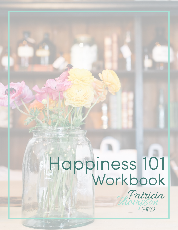# Happiness 101 Workbook

Patricia

PhD

son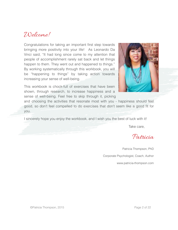#### Welcome!

Congratulations for taking an important first step towards bringing more positivity into your life! As Leonardo Da Vinci said, "It had long since come to my attention that people of accomplishment rarely sat back and let things happen to them. They went out and happened to things." By working systematically through this workbook, you will be "happening to things" by taking action towards increasing your sense of well-being.



This workbook is chock-full of exercises that have been shown, through research, to increase happiness and a sense of well-being. Feel free to skip through it, picking

and choosing the activities that resonate most with you - happiness should feel good, so don't feel compelled to do exercises that don't seem like a good fit for you.

I sincerely hope you enjoy the workbook, and I wish you the best of luck with it!

Take care,

Patricia

Patricia Thompson, PhD Corporate Psychologist, Coach, Author www.patricia-thompson.com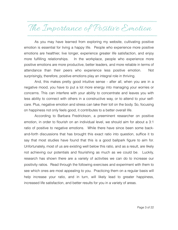## The Importance of Positive Emotion

As you may have learned from exploring my website, cultivating positive emotion is essential for living a happy life. People who experience more positive emotions are healthier, live longer, experience greater life satisfaction, and enjoy more fulfilling relationships. In the workplace, people who experience more positive emotions are more productive, better leaders, and more reliable in terms of attendance than their peers who experience less positive emotion. Not surprisingly, therefore, positive emotions play an integral role in thriving.

 And, this makes pretty good intuitive sense - after all, when you are in a negative mood, you have to put a lot more energy into managing your worries or concerns. This can interfere with your ability to concentrate and leaves you with less ability to connect with others in a constructive way, or to attend to your selfcare. Plus, negative emotion and stress can take their toll on the body. So, focusing on happiness not only feels good, it contributes to a better overall life.

 According to Barbara Fredrickson, a preeminent researcher on positive emotion, in order to flourish on an individual level, we should aim for about a 3:1 ratio of positive to negative emotions. While there have since been some backand-forth discussions that has brought this exact ratio into question, suffice it to say that most studies have found that this is a good ballpark figure to aim for. Unfortunately, most of us are existing well below this ratio, and as a result, are likely not achieving our potentials and flourishing as much as we could be. Luckily, research has shown there are a variety of activities we can do to increase our positivity ratios. Read through the following exercises and experiment with them to see which ones are most appealing to you. Practicing them on a regular basis will help increase your ratio, and in turn, will likely lead to greater happiness, increased life satisfaction, and better results for you in a variety of areas.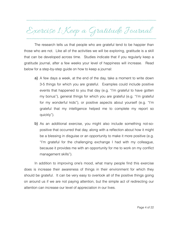## Exercise 1: Keep a Gratitude Journal

The research tells us that people who are grateful tend to be happier than those who are not. Like all of the activities we will be exploring, gratitude is a skill that can be developed across time. Studies indicate that if you regularly keep a gratitude journal, after a few weeks your level of happiness will increase. Read below for a step-by-step guide on how to keep a journal:

- a) A few days a week, at the end of the day, take a moment to write down 3-5 things for which you are grateful. Examples could include positive events that happened to you that day (e.g. "I'm grateful to have gotten my bonus"), general things for which you are grateful (e.g. "I'm grateful for my wonderful kids"), or positive aspects about yourself (e.g. "I'm grateful that my intelligence helped me to complete my report so quickly").
- b) As an additional exercise, you might also include something not-sopositive that occurred that day, along with a reflection about how it might be a blessing in disguise or an opportunity to make it more positive (e.g. "I'm grateful for the challenging exchange I had with my colleague, because it provides me with an opportunity for me to work on my conflict management skills").

In addition to improving one's mood, what many people find this exercise does is increase their awareness of things in their environment for which they should be grateful. It can be very easy to overlook all of the positive things going on around us if we are not paying attention, but the simple act of redirecting our attention can increase our level of appreciation in our lives.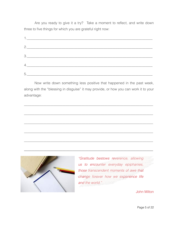Are you ready to give it a try? Take a moment to reflect, and write down three to five things for which you are grateful right now:

| 2.                                                                                                                                                              |  |  |
|-----------------------------------------------------------------------------------------------------------------------------------------------------------------|--|--|
| $\begin{array}{c c c c c} \hline \rule{0pt}{2ex} & \rule{0pt}{2ex} \multicolumn{2}{c }{\textbf{3.2}} & \multicolumn{2}{c }{\textbf{6.3}} \\ \hline \end{array}$ |  |  |
|                                                                                                                                                                 |  |  |
|                                                                                                                                                                 |  |  |

 Now write down something less positive that happened in the past week, along with the "blessing in disguise" it may provide, or how you can work it to your advantage:

\_\_\_\_\_\_\_\_\_\_\_\_\_\_\_\_\_\_\_\_\_\_\_\_\_\_\_\_\_\_\_\_\_\_\_\_\_\_\_\_\_\_\_\_\_\_\_\_\_\_\_\_\_\_\_\_\_\_\_\_\_\_\_\_\_\_\_\_\_\_\_\_\_\_

\_\_\_\_\_\_\_\_\_\_\_\_\_\_\_\_\_\_\_\_\_\_\_\_\_\_\_\_\_\_\_\_\_\_\_\_\_\_\_\_\_\_\_\_\_\_\_\_\_\_\_\_\_\_\_\_\_\_\_\_\_\_\_\_\_\_\_\_\_\_\_\_\_\_

\_\_\_\_\_\_\_\_\_\_\_\_\_\_\_\_\_\_\_\_\_\_\_\_\_\_\_\_\_\_\_\_\_\_\_\_\_\_\_\_\_\_\_\_\_\_\_\_\_\_\_\_\_\_\_\_\_\_\_\_\_\_\_\_\_\_\_\_\_\_\_\_\_\_

\_\_\_\_\_\_\_\_\_\_\_\_\_\_\_\_\_\_\_\_\_\_\_\_\_\_\_\_\_\_\_\_\_\_\_\_\_\_\_\_\_\_\_\_\_\_\_\_\_\_\_\_\_\_\_\_\_\_\_\_\_\_\_\_\_\_\_\_\_\_\_\_\_\_

\_\_\_\_\_\_\_\_\_\_\_\_\_\_\_\_\_\_\_\_\_\_\_\_\_\_\_\_\_\_\_\_\_\_\_\_\_\_\_\_\_\_\_\_\_\_\_\_\_\_\_\_\_\_\_\_\_\_\_\_\_\_\_\_\_\_\_\_\_\_\_\_\_\_

\_\_\_\_\_\_\_\_\_\_\_\_\_\_\_\_\_\_\_\_\_\_\_\_\_\_\_\_\_\_\_\_\_\_\_\_\_\_\_\_\_\_\_\_\_\_\_\_\_\_\_\_\_\_\_\_\_\_\_\_\_\_\_\_\_\_\_\_\_\_\_\_\_\_



*"Gratitude bestows reverence, allowing us to encounter everyday epiphanies, those transcendent moments of awe that change forever how we experience life and the world."* 

John Milton

Page 5 of 22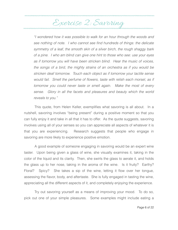#### Exercise 2: Savoring

*"I wondered how it was possible to walk for an hour through the woods and see nothing of note. I who cannot see find hundreds of things: the delicate symmetry of a leaf, the smooth skin of a silver birch, the rough shaggy bark of a pine. I who am blind can give one hint to those who see: use your eyes as if tomorrow you will have been stricken blind. Hear the music of voices, the songs of a bird, the mighty strains of an orchestra as if you would be stricken deaf tomorrow. Touch each object as if tomorrow your tactile sense would fail. Smell the perfume of flowers, taste with relish each morsel, as if tomorrow you could never taste or smell again. Make the most of every sense. Glory in all the facets and pleasures and beauty which the world reveals to you."* 

 This quote, from Helen Keller, exemplifies what savoring is all about. In a nutshell, savoring involves "being present" during a positive moment so that you can fully enjoy it and take in all that it has to offer. As the quote suggests, savoring involves using all of your senses so you can appreciate all aspects of whatever it is that you are experiencing. Research suggests that people who engage in savoring are more likely to experience positive emotion.

 A good example of someone engaging in savoring would be an expert wine taster. Upon being given a glass of wine, she visually examines it, taking in the color of the liquid and its clarity. Then, she swirls the glass to aerate it, and holds the glass up to her nose, taking in the aroma of the wine. Is it fruity? Earthy? Floral? Spicy? She takes a sip of the wine, letting it flow over her tongue, assessing the flavor, body, and aftertaste. She is fully engaged in tasting the wine, appreciating all the different aspects of it, and completely enjoying the experience.

 Try out savoring yourself as a means of improving your mood. To do so, pick out one of your simple pleasures. Some examples might include eating a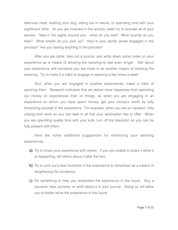delicious meal, walking your dog, sitting out in nature, or spending time with your significant other. As you are involved in the activity, really try to activate all of your senses. Take in the sights around you – what do you see? What sounds do you hear? What smells do you pick up? How is your tactile sense engaged in the process? Are you tasting anything in the process?

 After you are done, take out a journal, and write down some notes on your experience as a means of allowing the savoring to last even longer. Talk about your experience with someone you are close to as another means of relishing the savoring. Try to make it a habit to engage in savoring a few times a week.

 And, when you are engaged in positive experiences, make a habit of savoring them. Research indicates that we derive more happiness from spending our money on experiences than on things, so when you are engaging in an experience on which you have spent money, get your money's worth by fully immersing yourself in the experience. For example, when you are on vacation, fully unplug from work so you can take in all that your destination has to offer. When you are spending quality time with your kids, turn off the television so you can be fully present with them.

 Here are some additional suggestions for enhancing your savoring experiences:

- a) Try to share your experience with others. If you are unable to share it while it is happening, tell others about it after the fact.
- b) Try to pick out a few moments in the experience to remember as a means of lengthening the incidence.
- c) Do something to help you remember the experience in the future. Buy a souvenir, take pictures, or write about it in your journal. Doing so will allow you to better relive the experience in the future.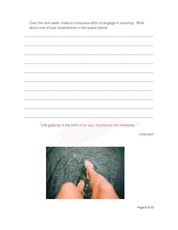Over the next week, make a conscious effort to engage in savoring. Write about one of your experiences in the space below:

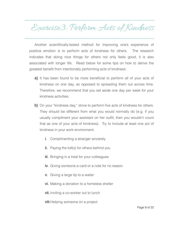## Exercise3: Perform Acts of Kindness

Another scientifically-tested method for improving one's experience of positive emotion is to perform acts of kindness for others. The research indicates that doing nice things for others not only feels good, it is also associated with longer life. Read below for some tips on how to derive the greatest benefit from intentionally performing acts of kindness:

- a) It has been found to be more beneficial to perform all of your acts of kindness on one day, as opposed to spreading them out across time. Therefore, we recommend that you set aside one day per week for your kindness activities.
- b) On your "kindness day," strive to perform five acts of kindness for others. They should be different from what you would normally do (e.g. if you usually compliment your assistant on her outfit, then you wouldn't count that as one of your acts of kindness). Try to include at least one act of kindness in your work environment.
	- i. Complimenting a stranger sincerely
	- ii. Paying the toll(s) for others behind you
	- **iii.** Bringing in a treat for your colleagues
	- iv. Giving someone a card or a note for no reason
	- v. Giving a large tip to a waiter
	- vi. Making a donation to a homeless shelter

**vii.** Inviting a co-worker out to lunch

viii.Helping someone on a project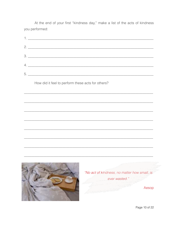At the end of your first "kindness day," make a list of the acts of kindness you performed:

|                                                                                                                                                                                                                                      | $2.$ $\overline{\phantom{a}}$                   |
|--------------------------------------------------------------------------------------------------------------------------------------------------------------------------------------------------------------------------------------|-------------------------------------------------|
|                                                                                                                                                                                                                                      |                                                 |
|                                                                                                                                                                                                                                      | $\begin{array}{c} \hline \text{3.} \end{array}$ |
|                                                                                                                                                                                                                                      | 4.                                              |
| How did it feel to perform these acts for others?                                                                                                                                                                                    |                                                 |
|                                                                                                                                                                                                                                      |                                                 |
|                                                                                                                                                                                                                                      |                                                 |
|                                                                                                                                                                                                                                      |                                                 |
|                                                                                                                                                                                                                                      |                                                 |
|                                                                                                                                                                                                                                      |                                                 |
|                                                                                                                                                                                                                                      |                                                 |
|                                                                                                                                                                                                                                      |                                                 |
|                                                                                                                                                                                                                                      |                                                 |
|                                                                                                                                                                                                                                      |                                                 |
| <b>Contact Automation Contact Contact Contact Contact Contact Contact Contact Contact Contact Contact Contact Contact Contact Contact Contact Contact Contact Contact Contact Contact Contact Contact Contact Contact Contact Co</b> |                                                 |
|                                                                                                                                                                                                                                      | "No act of kindness, no matter how small, is    |
|                                                                                                                                                                                                                                      | ever wasted."                                   |
|                                                                                                                                                                                                                                      | Aesop                                           |
|                                                                                                                                                                                                                                      |                                                 |

Page 10 of 22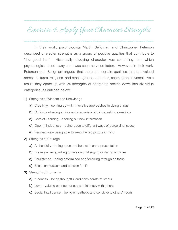### Exercise 4: Apply Your Character Strengths

In their work, psychologists Martin Seligman and Christopher Peterson described character strengths as a group of positive qualities that contribute to "the good life." Historically, studying character was something from which psychologists shied away, as it was seen as value-laden. However, in their work, Peterson and Seligman argued that there are certain qualities that are valued across cultures, religions, and ethnic groups, and thus, seem to be universal. As a result, they came up with 24 strengths of character, broken down into six virtue categories, as outlined below:

- 1) Strengths of Wisdom and Knowledge
	- a) Creativity coming up with innovative approaches to doing things
	- b) Curiosity having an interest in a variety of things; asking questions
	- c) Love of Learning seeking out new information
	- d) Open-mindedness being open to different ways of perceiving issues
	- e) Perspective being able to keep the big picture in mind
- 2) Strengths of Courage
	- a) Authenticity being open and honest in one's presentation
	- b) Bravery being willing to take on challenging or daring activities
	- c) Persistence being determined and following through on tasks
	- d) Zest enthusiasm and passion for life
- 3) Strengths of Humanity
	- a) Kindness being thoughtful and considerate of others
	- b) Love valuing connectedness and intimacy with others
	- c) Social Intelligence being empathetic and sensitive to others' needs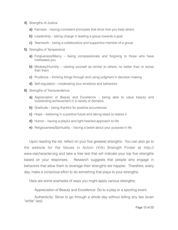- 4) Strengths of Justice
	- a) Fairness having consistent principles that drive how you treat others
	- b) Leadership taking charge in leading a group towards a goal
	- c) Teamwork being a collaborative and supportive member of a group
- 5) Strengths of Temperance
	- a) Forgiveness/Mercy being compassionate and forgiving to those who have mistreated you
	- b) Modesty/Humility viewing yourself as similar to others; no better than or worse than them
	- c) Prudence thinking things through and using judgment in decision-making
	- d) Self-regulation moderating your emotions and behaviors
- 6) Strengths of Transcendence
	- a) Appreciation of Beauty and Excellence being able to value beauty and outstanding achievement in a variety of domains
	- b) Gratitude being thankful for positive occurrences
	- c) Hope believing in a positive future and taking steps to realize it
	- d) Humor having a playful and light-hearted approach to life
	- e) Religiousness/Spirituality having a belief about your purpose in life

Upon reading the list, reflect on your five greatest strengths. You can also go to [the website for the Values in Action \(VIA\) Strength Finder at http://](http://www.viacharacter.org) www.viacharacter.org and take a free test that will indicate your top five strengths based on your responses. Research suggests that people who engage in behaviors that allow them to leverage their strengths are happier. Therefore, every day, make a conscious effort to do something that plays to your strengths.

Here are some examples of ways you might apply various strengths:

Appreciation of Beauty and Excellence: Go to a play or a sporting event.

Authenticity: Strive to go through a whole day without telling any lies (even "white" lies).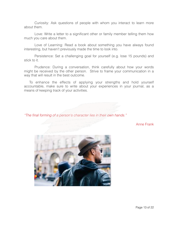Curiosity: Ask questions of people with whom you interact to learn more about them.

Love: Write a letter to a significant other or family member telling them how much you care about them.

Love of Learning: Read a book about something you have always found interesting, but haven't previously made the time to look into.

Persistence: Set a challenging goal for yourself (e.g. lose 15 pounds) and stick to it.

Prudence: During a conversation, think carefully about how your words might be received by the other person. Strive to frame your communication in a way that will result in the best outcome.

To enhance the effects of applying your strengths and hold yourself accountable, make sure to write about your experiences in your journal, as a means of keeping track of your activities.

*"The final forming of a person's character lies in their own hands."* 

Anne Frank

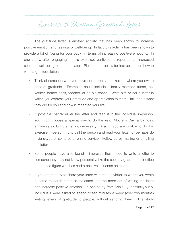#### Exercise 5: Write a Gratitude Letter

The gratitude letter is another activity that has been shown to increase positive emotion and feelings of well-being. In fact, this activity has been shown to provide a lot of "bang for your buck" in terms of increasing positive emotions. In one study, after engaging in this exercise, participants reported an increased sense of well-being one month later! Please read below for instructions on how to write a gratitude letter:

- Think of someone who you have not properly thanked, to whom you owe a debt of gratitude. Examples could include a family member, friend, coworker, former boss, teacher, or an old coach. Write him or her a letter in which you express your gratitude and appreciation to them. Talk about what they did for you and how it impacted your life.
- If possible, hand-deliver the letter and read it to the individual in-person. You might choose a special day to do this (e.g. Mother's Day, a birthday, anniversary), but that is not necessary. Also, if you are unable to do this exercise in-person, try to call the person and read your letter, or perhaps do it via skype or some other online service. Follow up by mailing or emailing the letter.
- Some people have also found it improves their mood to write a letter to someone they may not know personally, like the security guard at their office or a public figure who has had a positive influence on them.
- If you are too shy to share your letter with the individual to whom you wrote it, some research has also indicated that the mere act of writing the letter can increase positive emotion. In one study from Sonja Lyubomirsky's lab, individuals were asked to spend fifteen minutes a week (over two months) writing letters of gratitude to people, without sending them. The study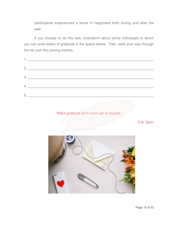participants experienced a boost in happiness both during and after the task.

If you choose to do this task, brainstorm about some individuals to whom you can write letters of gratitude in the space below. Then, work your way through the list over the coming months.

| 5. |
|----|
|    |

*"Silent gratitude isn't much use to anyone."* 

G.B. Stern

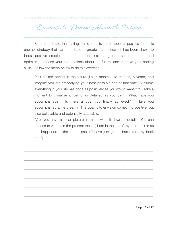#### Exercise 6: Dream About the Future

Studies indicate that taking some time to think about a positive future is another strategy that can contribute to greater happiness. It has been shown to boost positive emotions in the moment, instill a greater sense of hope and optimism, increase your expectations about the future, and improve your coping skills. Follow the steps below to do this exercise:

Pick a time period in the future (i.e. 6 months, 12 months, 5 years) and imagine you are embodying your best possible self at that time. Assume everything in your life has gone as positively as you would want it to. Take a moment to visualize it, being as detailed as you can. What have you accomplished? Is there a goal you finally achieved? Have you accomplished a life dream? The goal is to envision something positive, but also believable and potentially attainable.

After you have a clear picture in mind, write it down in detail. You can choose to write it in the present tense ("I am in the job of my dreams") or as if it happened in the recent past ("I have just gotten back from my book tour").

\_\_\_\_\_\_\_\_\_\_\_\_\_\_\_\_\_\_\_\_\_\_\_\_\_\_\_\_\_\_\_\_\_\_\_\_\_\_\_\_\_\_\_\_\_\_\_\_\_\_\_\_\_\_\_\_\_\_\_\_\_\_\_\_\_\_\_\_\_\_\_\_\_\_

\_\_\_\_\_\_\_\_\_\_\_\_\_\_\_\_\_\_\_\_\_\_\_\_\_\_\_\_\_\_\_\_\_\_\_\_\_\_\_\_\_\_\_\_\_\_\_\_\_\_\_\_\_\_\_\_\_\_\_\_\_\_\_\_\_\_\_\_\_\_\_\_\_\_

\_\_\_\_\_\_\_\_\_\_\_\_\_\_\_\_\_\_\_\_\_\_\_\_\_\_\_\_\_\_\_\_\_\_\_\_\_\_\_\_\_\_\_\_\_\_\_\_\_\_\_\_\_\_\_\_\_\_\_\_\_\_\_\_\_\_\_\_\_\_\_\_\_\_

\_\_\_\_\_\_\_\_\_\_\_\_\_\_\_\_\_\_\_\_\_\_\_\_\_\_\_\_\_\_\_\_\_\_\_\_\_\_\_\_\_\_\_\_\_\_\_\_\_\_\_\_\_\_\_\_\_\_\_\_\_\_\_\_\_\_\_\_\_\_\_\_\_\_

\_\_\_\_\_\_\_\_\_\_\_\_\_\_\_\_\_\_\_\_\_\_\_\_\_\_\_\_\_\_\_\_\_\_\_\_\_\_\_\_\_\_\_\_\_\_\_\_\_\_\_\_\_\_\_\_\_\_\_\_\_\_\_\_\_\_\_\_\_\_\_\_\_\_

\_\_\_\_\_\_\_\_\_\_\_\_\_\_\_\_\_\_\_\_\_\_\_\_\_\_\_\_\_\_\_\_\_\_\_\_\_\_\_\_\_\_\_\_\_\_\_\_\_\_\_\_\_\_\_\_\_\_\_\_\_\_\_\_\_\_\_\_\_\_\_\_\_\_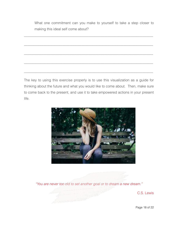What one commitment can you make to yourself to take a step closer to making this ideal self come about?

\_\_\_\_\_\_\_\_\_\_\_\_\_\_\_\_\_\_\_\_\_\_\_\_\_\_\_\_\_\_\_\_\_\_\_\_\_\_\_\_\_\_\_\_\_\_\_\_\_\_\_\_\_\_\_\_\_\_\_\_\_\_\_\_\_\_\_\_\_\_\_\_\_\_

\_\_\_\_\_\_\_\_\_\_\_\_\_\_\_\_\_\_\_\_\_\_\_\_\_\_\_\_\_\_\_\_\_\_\_\_\_\_\_\_\_\_\_\_\_\_\_\_\_\_\_\_\_\_\_\_\_\_\_\_\_\_\_\_\_\_\_\_\_\_\_\_\_\_

\_\_\_\_\_\_\_\_\_\_\_\_\_\_\_\_\_\_\_\_\_\_\_\_\_\_\_\_\_\_\_\_\_\_\_\_\_\_\_\_\_\_\_\_\_\_\_\_\_\_\_\_\_\_\_\_\_\_\_\_\_\_\_\_\_\_\_\_\_\_\_\_\_\_

\_\_\_\_\_\_\_\_\_\_\_\_\_\_\_\_\_\_\_\_\_\_\_\_\_\_\_\_\_\_\_\_\_\_\_\_\_\_\_\_\_\_\_\_\_\_\_\_\_\_\_\_\_\_\_\_\_\_\_\_\_\_\_\_\_\_\_\_\_\_\_\_\_\_

\_\_\_\_\_\_\_\_\_\_\_\_\_\_\_\_\_\_\_\_\_\_\_\_\_\_\_\_\_\_\_\_\_\_\_\_\_\_\_\_\_\_\_\_\_\_\_\_\_\_\_\_\_\_\_\_\_\_\_\_\_\_\_\_\_\_\_\_\_\_\_\_\_\_

The key to using this exercise properly is to use this visualization as a guide for thinking about the future and what you would like to come about. Then, make sure to come back to the present, and use it to take empowered actions in your present life.



*"You are never too old to set another goal or to dream a new dream."* 

C.S. Lewis

Page 18 of 22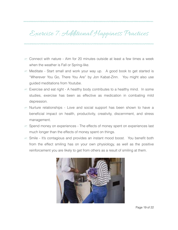#### Exercise 7: Additional Happiness Practices

- Connect with nature Aim for 20 minutes outside at least a few times a week when the weather is Fall or Spring-like.
- Meditate Start small and work your way up. A good book to get started is "Wherever You Go, There You Are" by Jon Kabat-Zinn. You might also use guided meditations from Youtube.
- Exercise and eat right A healthy body contributes to a healthy mind. In some studies, exercise has been as effective as medication in combating mild depression.
- Nurture relationships Love and social support has been shown to have a beneficial impact on health, productivity, creativity, discernment, and stress management.
- Spend money on experiences The effects of money spent on experiences last much longer than the effects of money spent on things.
- Smile It's contagious and provides an instant mood boost. You benefit both from the effect smiling has on your own physiology, as well as the positive reinforcement you are likely to get from others as a result of smiling at them.



Page 19 of 22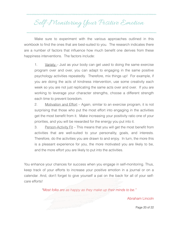#### Self-Monitoring Your Positive Emotion

Make sure to experiment with the various approaches outlined in this workbook to find the ones that are best-suited to you. The research indicates there are a number of factors that influence how much benefit one derives from these happiness interventions. The factors include:

1. Variety – Just as your body can get used to doing the same exercise program over and over, you can adapt to engaging in the same positive psychology activities repeatedly. Therefore, mix things up! For example, if you are doing the acts of kindness intervention, use some creativity each week so you are not just replicating the same acts over and over. If you are working to leverage your character strengths, choose a different strength each time to prevent boredom.

2. Motivation and Effort – Again, similar to an exercise program, it is not surprising that those who put the most effort into engaging in the activities get the most benefit from it. Make increasing your positivity ratio one of your priorities, and you will be rewarded for the energy you put into it.

3. Person-Activity Fit – This means that you will get the most benefit from activities that are well-suited to your personality, goals, and interests. Therefore, do the activities you are drawn to and enjoy. In turn, the more this is a pleasant experience for you, the more motivated you are likely to be, and the more effort you are likely to put into the activities.

You enhance your chances for success when you engage in self-monitoring. Thus, keep track of your efforts to increase your positive emotion in a journal or on a calendar. And, don't forget to give yourself a pat on the back for all of your selfcare efforts!

*"Most folks are as happy as they make up their minds to be."* 

Abraham Lincoln

Page 20 of 22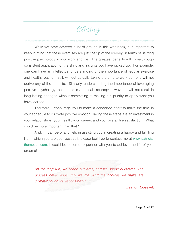Closing

While we have covered a lot of ground in this workbook, it is important to keep in mind that these exercises are just the tip of the iceberg in terms of utilizing positive psychology in your work and life. The greatest benefits will come through consistent application of the skills and insights you have picked up. For example, one can have an intellectual understanding of the importance of regular exercise and healthy eating. Still, without actually taking the time to work out, one will not derive any of the benefits. Similarly, understanding the importance of leveraging positive psychology techniques is a critical first step; however, it will not result in long-lasting changes without committing to making it a priority to apply what you have learned.

 Therefore, I encourage you to make a concerted effort to make the time in your schedule to cultivate positive emotion. Taking these steps are an investment in your relationships, your health, your career, and your overall life satisfaction. What could be more important than that?

 And, if I can be of any help in assisting you in creating a happy and fulfilling [life in which you are your best self, please feel free to contact me at](http://www.patricia-thompson.com) www.patriciathompson.com. I would be honored to partner with you to achieve the life of your dreams!

*"In the long run, we shape our lives, and we shape ourselves. The process never ends until we die. And the choices we make are ultimately our own responsibility."* 

Eleanor Roosevelt